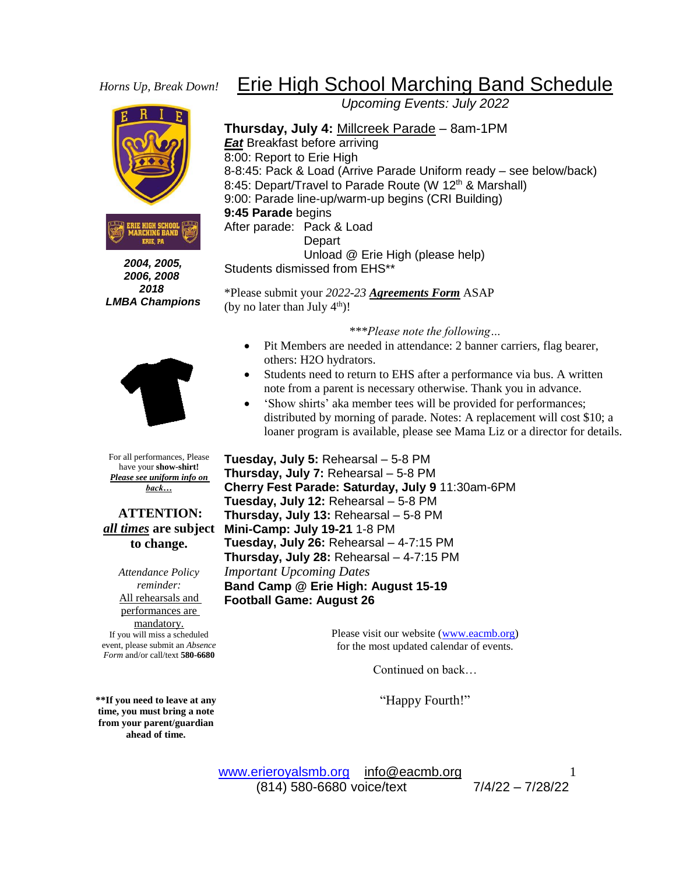## *Horns Up, Break Down!*





 *2004, 2005, 2006, 2008 2018 LMBA Champions*



For all performances, Please have your **show-shirt!** *Please see uniform info on back…*

**ATTENTION:**  *all times* **are subject to change.**

*Attendance Policy reminder:* All rehearsals and performances are mandatory. If you will miss a scheduled event, please submit an *Absence Form* and/or call/text **580-6680**

**\*\*If you need to leave at any time, you must bring a note from your parent/guardian ahead of time.**

## Erie High School Marching Band Schedule

*Upcoming Events: July 2022*

**Thursday, July 4:** Millcreek Parade – 8am-1PM *Eat* Breakfast before arriving 8:00: Report to Erie High 8-8:45: Pack & Load (Arrive Parade Uniform ready – see below/back) 8:45: Depart/Travel to Parade Route (W 12<sup>th</sup> & Marshall) 9:00: Parade line-up/warm-up begins (CRI Building) **9:45 Parade** begins After parade: Pack & Load Depart Unload @ Erie High (please help) Students dismissed from EHS\*\*

\*Please submit your *2022-23 Agreements Form* ASAP (by no later than July  $4<sup>th</sup>$ )!

*\*\*\*Please note the following…*

- Pit Members are needed in attendance: 2 banner carriers, flag bearer, others: H2O hydrators.
- Students need to return to EHS after a performance via bus. A written note from a parent is necessary otherwise. Thank you in advance.
- 'Show shirts' aka member tees will be provided for performances; distributed by morning of parade. Notes: A replacement will cost \$10; a loaner program is available, please see Mama Liz or a director for details.

**Tuesday, July 5:** Rehearsal – 5-8 PM **Thursday, July 7:** Rehearsal – 5-8 PM **Cherry Fest Parade: Saturday, July 9** 11:30am-6PM **Tuesday, July 12:** Rehearsal – 5-8 PM **Thursday, July 13:** Rehearsal – 5-8 PM **Mini-Camp: July 19-21** 1-8 PM **Tuesday, July 26:** Rehearsal – 4-7:15 PM **Thursday, July 28:** Rehearsal – 4-7:15 PM *Important Upcoming Dates* **Band Camp @ Erie High: August 15-19 Football Game: August 26**

> Please visit our website [\(www.eacmb.org\)](http://www.eacmb.org/) for the most updated calendar of events.

> > Continued on back…

"Happy Fourth!"

[www.erieroyalsmb.org](http://www.erieroyalsmb.org/) [info@eacmb.org](mailto:info@eacmb.org) (814) 580-6680 voice/text 7/4/22 – 7/28/22

1